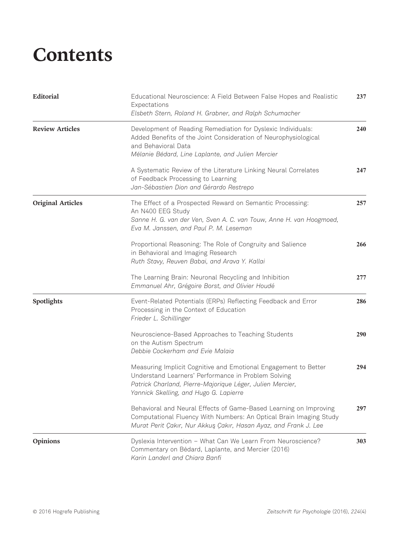## **Contents**

| Editorial                | Educational Neuroscience: A Field Between False Hopes and Realistic<br>Expectations<br>Elsbeth Stern, Roland H. Grabner, and Ralph Schumacher                                                                                 | 237        |
|--------------------------|-------------------------------------------------------------------------------------------------------------------------------------------------------------------------------------------------------------------------------|------------|
| <b>Review Articles</b>   | Development of Reading Remediation for Dyslexic Individuals:<br>Added Benefits of the Joint Consideration of Neurophysiological<br>and Behavioral Data<br>Mélanie Bédard, Line Laplante, and Julien Mercier                   | <b>240</b> |
|                          | A Systematic Review of the Literature Linking Neural Correlates<br>of Feedback Processing to Learning<br>Jan-Sébastien Dion and Gérardo Restrepo                                                                              | 247        |
| <b>Original Articles</b> | The Effect of a Prospected Reward on Semantic Processing:<br>An N400 EEG Study<br>Sanne H. G. van der Ven, Sven A. C. van Touw, Anne H. van Hoogmoed,<br>Eva M. Janssen, and Paul P. M. Leseman                               | 257        |
|                          | Proportional Reasoning: The Role of Congruity and Salience<br>in Behavioral and Imaging Research<br>Ruth Stavy, Reuven Babai, and Arava Y. Kallai                                                                             | 266        |
|                          | The Learning Brain: Neuronal Recycling and Inhibition<br>Emmanuel Ahr, Grégoire Borst, and Olivier Houdé                                                                                                                      | 277        |
| Spotlights               | Event-Related Potentials (ERPs) Reflecting Feedback and Error<br>Processing in the Context of Education<br>Frieder L. Schillinger                                                                                             | 286        |
|                          | Neuroscience-Based Approaches to Teaching Students<br>on the Autism Spectrum<br>Debbie Cockerham and Evie Malaia                                                                                                              | 290        |
|                          | Measuring Implicit Cognitive and Emotional Engagement to Better<br>Understand Learners' Performance in Problem Solving<br>Patrick Charland, Pierre-Majorique Léger, Julien Mercier,<br>Yannick Skelling, and Hugo G. Lapierre | 294        |
|                          | Behavioral and Neural Effects of Game-Based Learning on Improving<br>Computational Fluency With Numbers: An Optical Brain Imaging Study<br>Murat Perit Çakır, Nur Akkuş Çakır, Hasan Ayaz, and Frank J. Lee                   | 297        |
| Opinions                 | Dyslexia Intervention - What Can We Learn From Neuroscience?<br>Commentary on Bédard, Laplante, and Mercier (2016)<br>Karin Landerl and Chiara Banfi                                                                          | 303        |